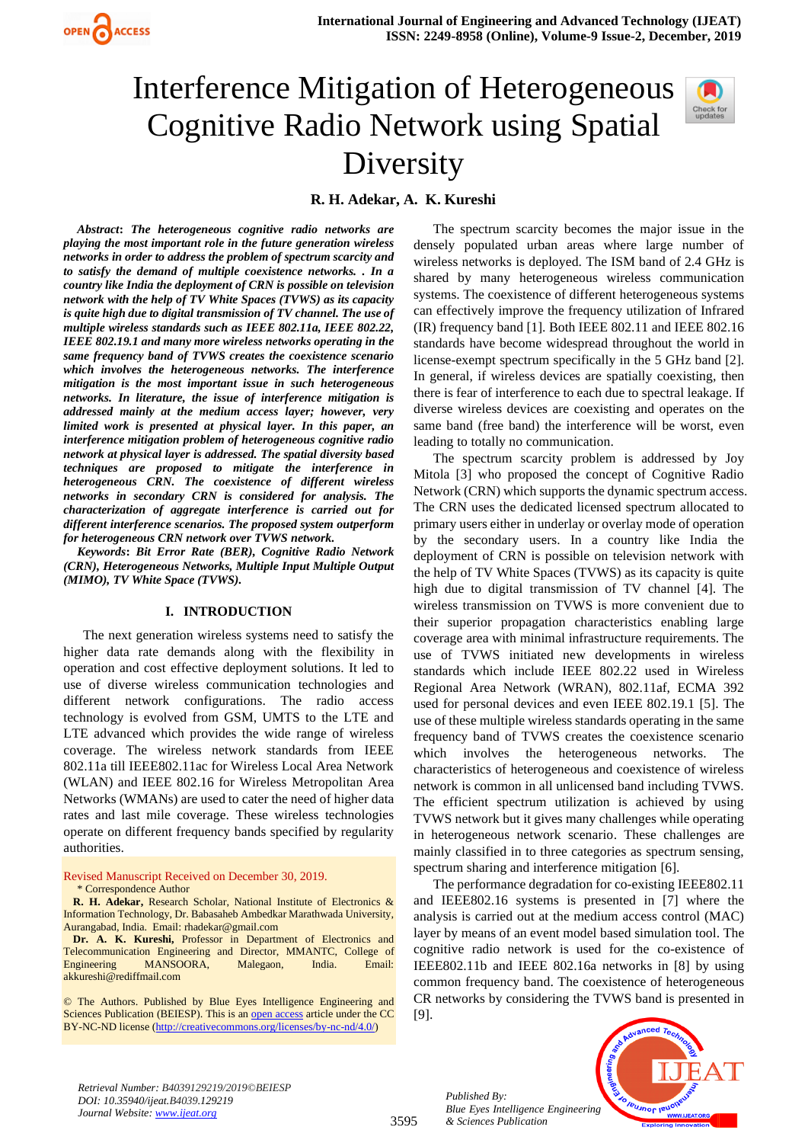

# Interference Mitigation of Heterogeneous Cognitive Radio Network using Spatial Diversity



**R. H. Adekar, A. K. Kureshi** 

*Abstract***:** *The heterogeneous cognitive radio networks are playing the most important role in the future generation wireless networks in order to address the problem of spectrum scarcity and to satisfy the demand of multiple coexistence networks. . In a country like India the deployment of CRN is possible on television network with the help of TV White Spaces (TVWS) as its capacity is quite high due to digital transmission of TV channel. The use of multiple wireless standards such as IEEE 802.11a, IEEE 802.22, IEEE 802.19.1 and many more wireless networks operating in the same frequency band of TVWS creates the coexistence scenario which involves the heterogeneous networks. The interference mitigation is the most important issue in such heterogeneous networks. In literature, the issue of interference mitigation is addressed mainly at the medium access layer; however, very limited work is presented at physical layer. In this paper, an interference mitigation problem of heterogeneous cognitive radio network at physical layer is addressed. The spatial diversity based techniques are proposed to mitigate the interference in heterogeneous CRN. The coexistence of different wireless networks in secondary CRN is considered for analysis. The characterization of aggregate interference is carried out for different interference scenarios. The proposed system outperform for heterogeneous CRN network over TVWS network.*

*Keywords***:** *Bit Error Rate (BER), Cognitive Radio Network (CRN), Heterogeneous Networks, Multiple Input Multiple Output (MIMO), TV White Space (TVWS).*

#### **I. INTRODUCTION**

The next generation wireless systems need to satisfy the higher data rate demands along with the flexibility in operation and cost effective deployment solutions. It led to use of diverse wireless communication technologies and different network configurations. The radio access technology is evolved from GSM, UMTS to the LTE and LTE advanced which provides the wide range of wireless coverage. The wireless network standards from IEEE 802.11a till IEEE802.11ac for Wireless Local Area Network (WLAN) and IEEE 802.16 for Wireless Metropolitan Area Networks (WMANs) are used to cater the need of higher data rates and last mile coverage. These wireless technologies operate on different frequency bands specified by regularity authorities.

Revised Manuscript Received on December 30, 2019. \* Correspondence Author

**R. H. Adekar,** Research Scholar, National Institute of Electronics & Information Technology, Dr. Babasaheb Ambedkar Marathwada University,

Aurangabad, India. Email[: rhadekar@gmail.com](mailto:rhadekar@gmail.com) **Dr. A. K. Kureshi,** Professor in Department of Electronics and Telecommunication Engineering and Director, MMANTC, College of Engineering MANSOORA, Malegaon, India. Email: [akkureshi@rediffmail.com](mailto:akkureshi@rediffmail.com)

© The Authors. Published by Blue Eyes Intelligence Engineering and Sciences Publication (BEIESP). This is a[n open access](https://www.openaccess.nl/en/open-publications) article under the CC BY-NC-ND license [\(http://creativecommons.org/licenses/by-nc-nd/4.0/\)](http://creativecommons.org/licenses/by-nc-nd/4.0/)

The spectrum scarcity becomes the major issue in the densely populated urban areas where large number of wireless networks is deployed. The ISM band of 2.4 GHz is shared by many heterogeneous wireless communication systems. The coexistence of different heterogeneous systems can effectively improve the frequency utilization of Infrared (IR) frequency band [1]. Both IEEE 802.11 and IEEE 802.16 standards have become widespread throughout the world in license-exempt spectrum specifically in the 5 GHz band [2]. In general, if wireless devices are spatially coexisting, then there is fear of interference to each due to spectral leakage. If diverse wireless devices are coexisting and operates on the same band (free band) the interference will be worst, even leading to totally no communication.

The spectrum scarcity problem is addressed by Joy Mitola [3] who proposed the concept of Cognitive Radio Network (CRN) which supports the dynamic spectrum access. The CRN uses the dedicated licensed spectrum allocated to primary users either in underlay or overlay mode of operation by the secondary users. In a country like India the deployment of CRN is possible on television network with the help of TV White Spaces (TVWS) as its capacity is quite high due to digital transmission of TV channel [4]. The wireless transmission on TVWS is more convenient due to their superior propagation characteristics enabling large coverage area with minimal infrastructure requirements. The use of TVWS initiated new developments in wireless standards which include IEEE 802.22 used in Wireless Regional Area Network (WRAN), 802.11af, ECMA 392 used for personal devices and even IEEE 802.19.1 [5]. The use of these multiple wireless standards operating in the same frequency band of TVWS creates the coexistence scenario which involves the heterogeneous networks. The characteristics of heterogeneous and coexistence of wireless network is common in all unlicensed band including TVWS. The efficient spectrum utilization is achieved by using TVWS network but it gives many challenges while operating in heterogeneous network scenario. These challenges are mainly classified in to three categories as spectrum sensing, spectrum sharing and interference mitigation [6].

The performance degradation for co-existing IEEE802.11 and IEEE802.16 systems is presented in [7] where the analysis is carried out at the medium access control (MAC) layer by means of an event model based simulation tool. The cognitive radio network is used for the co-existence of IEEE802.11b and IEEE 802.16a networks in [8] by using common frequency band. The coexistence of heterogeneous CR networks by considering the TVWS band is presented in [9].

*Retrieval Number: B4039129219/2019©BEIESP DOI: 10.35940/ijeat.B4039.129219 Journal Website[: www.ijeat.org](http://www.ijeat.org/)*

3595

*Published By: Blue Eyes Intelligence Engineering & Sciences Publication* 

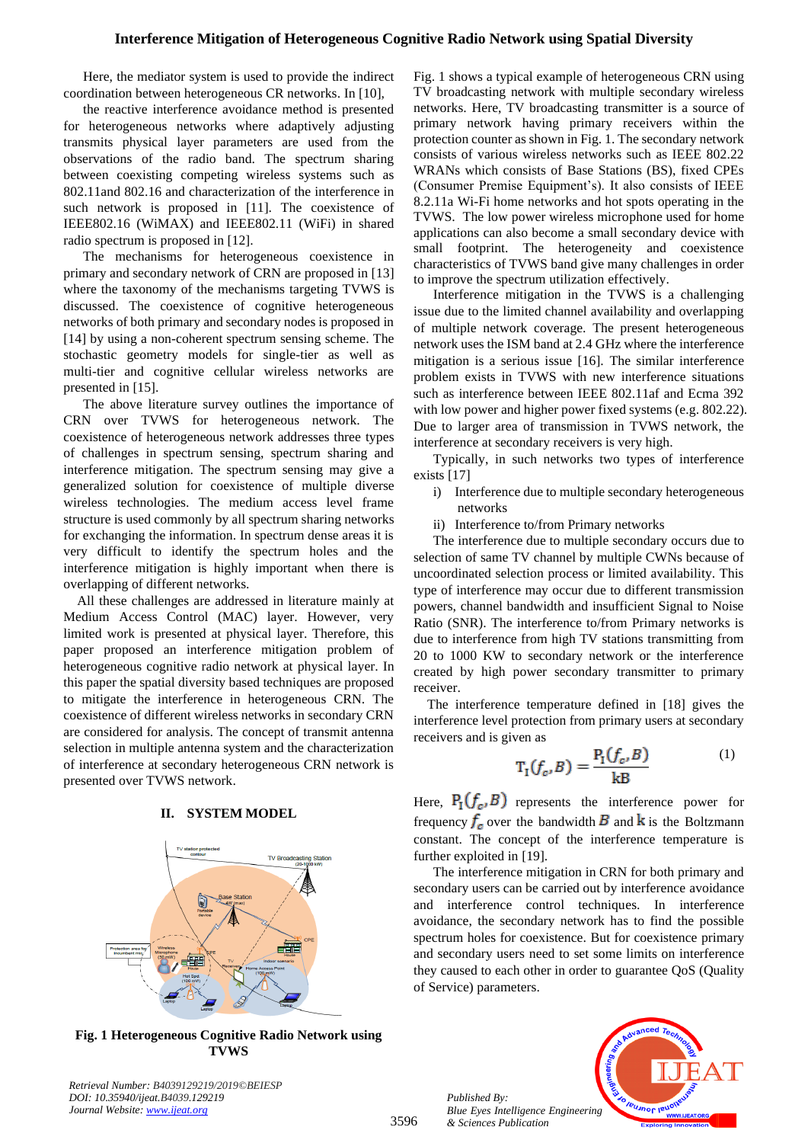# **Interference Mitigation of Heterogeneous Cognitive Radio Network using Spatial Diversity**

Here, the mediator system is used to provide the indirect coordination between heterogeneous CR networks. In [10],

the reactive interference avoidance method is presented for heterogeneous networks where adaptively adjusting transmits physical layer parameters are used from the observations of the radio band. The spectrum sharing between coexisting competing wireless systems such as 802.11and 802.16 and characterization of the interference in such network is proposed in [11]. The coexistence of IEEE802.16 (WiMAX) and IEEE802.11 (WiFi) in shared radio spectrum is proposed in [12].

The mechanisms for heterogeneous coexistence in primary and secondary network of CRN are proposed in [13] where the taxonomy of the mechanisms targeting TVWS is discussed. The coexistence of cognitive heterogeneous networks of both primary and secondary nodes is proposed in [14] by using a non-coherent spectrum sensing scheme. The stochastic geometry models for single-tier as well as multi-tier and cognitive cellular wireless networks are presented in [15].

The above literature survey outlines the importance of CRN over TVWS for heterogeneous network. The coexistence of heterogeneous network addresses three types of challenges in spectrum sensing, spectrum sharing and interference mitigation. The spectrum sensing may give a generalized solution for coexistence of multiple diverse wireless technologies. The medium access level frame structure is used commonly by all spectrum sharing networks for exchanging the information. In spectrum dense areas it is very difficult to identify the spectrum holes and the interference mitigation is highly important when there is overlapping of different networks.

All these challenges are addressed in literature mainly at Medium Access Control (MAC) layer. However, very limited work is presented at physical layer. Therefore, this paper proposed an interference mitigation problem of heterogeneous cognitive radio network at physical layer. In this paper the spatial diversity based techniques are proposed to mitigate the interference in heterogeneous CRN. The coexistence of different wireless networks in secondary CRN are considered for analysis. The concept of transmit antenna selection in multiple antenna system and the characterization of interference at secondary heterogeneous CRN network is presented over TVWS network.



#### **II. SYSTEM MODEL**

**Fig. 1 Heterogeneous Cognitive Radio Network using TVWS**

*Retrieval Number: B4039129219/2019©BEIESP DOI: 10.35940/ijeat.B4039.129219 Journal Website: [www.ijeat.org](http://www.ijeat.org/)*

Fig. 1 shows a typical example of heterogeneous CRN using TV broadcasting network with multiple secondary wireless networks. Here, TV broadcasting transmitter is a source of primary network having primary receivers within the protection counter as shown in Fig. 1. The secondary network consists of various wireless networks such as IEEE 802.22 WRANs which consists of Base Stations (BS), fixed CPEs (Consumer Premise Equipment's). It also consists of IEEE 8.2.11a Wi-Fi home networks and hot spots operating in the TVWS. The low power wireless microphone used for home applications can also become a small secondary device with small footprint. The heterogeneity and coexistence characteristics of TVWS band give many challenges in order to improve the spectrum utilization effectively.

Interference mitigation in the TVWS is a challenging issue due to the limited channel availability and overlapping of multiple network coverage. The present heterogeneous network uses the ISM band at 2.4 GHz where the interference mitigation is a serious issue [16]. The similar interference problem exists in TVWS with new interference situations such as interference between IEEE 802.11af and Ecma 392 with low power and higher power fixed systems (e.g. 802.22). Due to larger area of transmission in TVWS network, the interference at secondary receivers is very high.

Typically, in such networks two types of interference exists [17]

- i) Interference due to multiple secondary heterogeneous networks
- ii) Interference to/from Primary networks

The interference due to multiple secondary occurs due to selection of same TV channel by multiple CWNs because of uncoordinated selection process or limited availability. This type of interference may occur due to different transmission powers, channel bandwidth and insufficient Signal to Noise Ratio (SNR). The interference to/from Primary networks is due to interference from high TV stations transmitting from 20 to 1000 KW to secondary network or the interference created by high power secondary transmitter to primary receiver.

The interference temperature defined in [18] gives the interference level protection from primary users at secondary receivers and is given as

$$
\Gamma_1(f_c, B) = \frac{P_1(f_c, B)}{kB} \tag{1}
$$

Here,  $P_1(f_c, B)$  represents the interference power for frequency  $f_c$  over the bandwidth  $\overline{B}$  and  $\overline{k}$  is the Boltzmann constant. The concept of the interference temperature is further exploited in [19].

The interference mitigation in CRN for both primary and secondary users can be carried out by interference avoidance and interference control techniques. In interference avoidance, the secondary network has to find the possible spectrum holes for coexistence. But for coexistence primary and secondary users need to set some limits on interference they caused to each other in order to guarantee QoS (Quality of Service) parameters.

*Published By: Blue Eyes Intelligence Engineering & Sciences Publication* 

3596

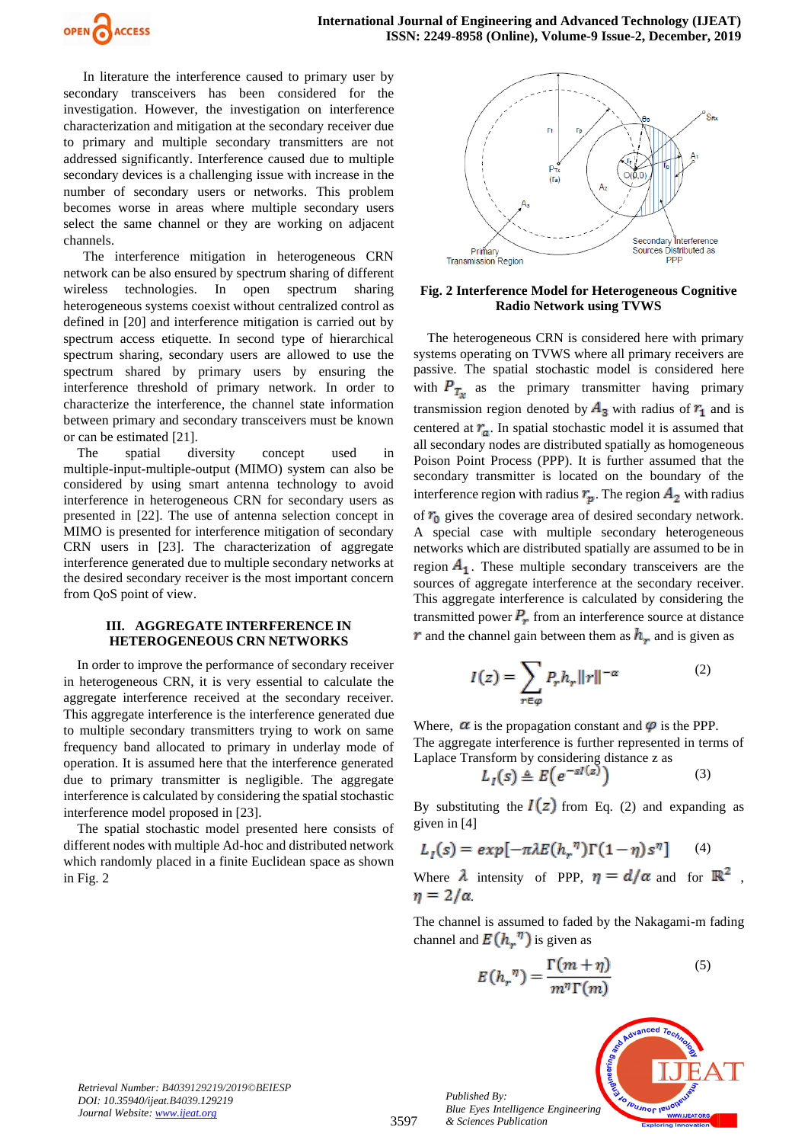

In literature the interference caused to primary user by secondary transceivers has been considered for the investigation. However, the investigation on interference characterization and mitigation at the secondary receiver due to primary and multiple secondary transmitters are not addressed significantly. Interference caused due to multiple secondary devices is a challenging issue with increase in the number of secondary users or networks. This problem becomes worse in areas where multiple secondary users select the same channel or they are working on adjacent channels.

The interference mitigation in heterogeneous CRN network can be also ensured by spectrum sharing of different wireless technologies. In open spectrum sharing heterogeneous systems coexist without centralized control as defined in [20] and interference mitigation is carried out by spectrum access etiquette. In second type of hierarchical spectrum sharing, secondary users are allowed to use the spectrum shared by primary users by ensuring the interference threshold of primary network. In order to characterize the interference, the channel state information between primary and secondary transceivers must be known or can be estimated [21].

The spatial diversity concept used in multiple-input-multiple-output (MIMO) system can also be considered by using smart antenna technology to avoid interference in heterogeneous CRN for secondary users as presented in [22]. The use of antenna selection concept in MIMO is presented for interference mitigation of secondary CRN users in [23]. The characterization of aggregate interference generated due to multiple secondary networks at the desired secondary receiver is the most important concern from QoS point of view.

# **III. AGGREGATE INTERFERENCE IN HETEROGENEOUS CRN NETWORKS**

In order to improve the performance of secondary receiver in heterogeneous CRN, it is very essential to calculate the aggregate interference received at the secondary receiver. This aggregate interference is the interference generated due to multiple secondary transmitters trying to work on same frequency band allocated to primary in underlay mode of operation. It is assumed here that the interference generated due to primary transmitter is negligible. The aggregate interference is calculated by considering the spatial stochastic interference model proposed in [23].

The spatial stochastic model presented here consists of different nodes with multiple Ad-hoc and distributed network which randomly placed in a finite Euclidean space as shown in Fig. 2



# **Fig. 2 Interference Model for Heterogeneous Cognitive Radio Network using TVWS**

The heterogeneous CRN is considered here with primary systems operating on TVWS where all primary receivers are passive. The spatial stochastic model is considered here with  $P_{T_{x}}$  as the primary transmitter having primary transmission region denoted by  $A_3$  with radius of  $r_1$  and is centered at  $r_a$ . In spatial stochastic model it is assumed that all secondary nodes are distributed spatially as homogeneous Poison Point Process (PPP). It is further assumed that the secondary transmitter is located on the boundary of the interference region with radius  $r_p$ . The region  $A_2$  with radius of  $r_0$  gives the coverage area of desired secondary network. A special case with multiple secondary heterogeneous networks which are distributed spatially are assumed to be in region  $A_1$ . These multiple secondary transceivers are the sources of aggregate interference at the secondary receiver. This aggregate interference is calculated by considering the transmitted power  $P_r$  from an interference source at distance  $\bm{r}$  and the channel gain between them as  $\bm{h}_r$  and is given as

$$
I(z) = \sum_{r \in \varphi} P_r h_r \|r\|^{-\alpha} \tag{2}
$$

Where,  $\alpha$  is the propagation constant and  $\varphi$  is the PPP. The aggregate interference is further represented in terms of Laplace Transform by considering distance z as

$$
L_I(s) \triangleq E\left(e^{-sI(z)}\right) \tag{3}
$$

By substituting the  $I(z)$  from Eq. (2) and expanding as given in [4]

$$
L_I(s) = exp[-\pi \lambda E(h_r^{\eta})\Gamma(1-\eta)s^{\eta}]
$$
 (4)

Where  $\lambda$  intensity of PPP,  $\eta = d/\alpha$  and for  $\mathbb{R}^2$ ,  $\eta = 2/\alpha$ .

The channel is assumed to faded by the Nakagami-m fading channel and  $E(h_{\nu}^{\eta})$  is given as

$$
E(h_r^{\eta}) = \frac{\Gamma(m+\eta)}{m^{\eta}\Gamma(m)} \tag{5}
$$



*Retrieval Number: B4039129219/2019©BEIESP DOI: 10.35940/ijeat.B4039.129219 Journal Website[: www.ijeat.org](http://www.ijeat.org/)*

3597

*Published By: Blue Eyes Intelligence Engineering & Sciences Publication*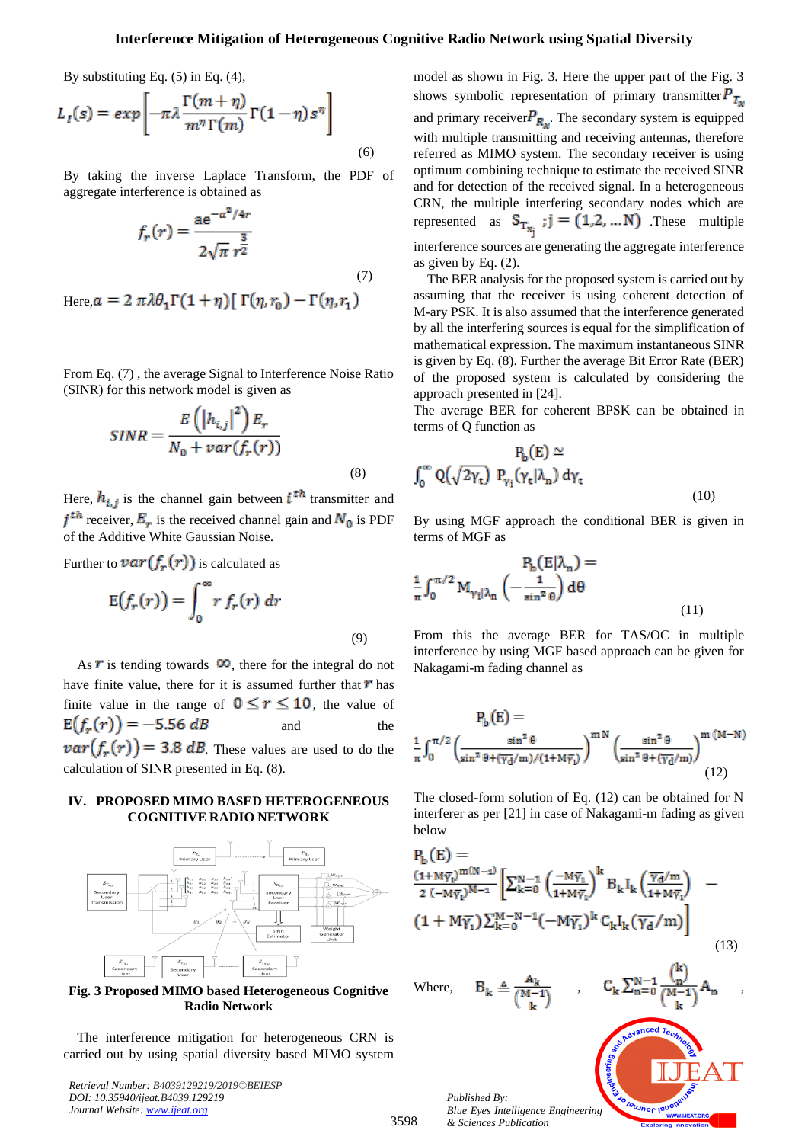# **Interference Mitigation of Heterogeneous Cognitive Radio Network using Spatial Diversity**

By substituting Eq. (5) in Eq. (4),

$$
L_I(s) = exp\left[-\pi \lambda \frac{\Gamma(m+\eta)}{m^{\eta} \Gamma(m)} \Gamma(1-\eta) s^{\eta}\right]
$$
\n(6)

By taking the inverse Laplace Transform, the PDF of aggregate interference is obtained as

$$
f_r(r) = \frac{a e^{-a^2/4r}}{2\sqrt{\pi} r^{\frac{3}{2}}}
$$
 (7)

Here,  $a = 2 \pi \lambda \theta_1 \Gamma(1 + \eta) [\Gamma(\eta, r_0) - \Gamma(\eta, r_1)]$ 

From Eq. (7) , the average Signal to Interference Noise Ratio (SINR) for this network model is given as

$$
SINR = \frac{E\left(\left|h_{i,j}\right|^2\right)E_r}{N_0 + var(f_r(r))}
$$
\n(8)

Here,  $h_{i,j}$  is the channel gain between  $i^{th}$  transmitter and  $j<sup>th</sup>$  receiver,  $E_r$  is the received channel gain and  $N_0$  is PDF of the Additive White Gaussian Noise.

Further to 
$$
var(f_r(r))
$$
 is calculated as  

$$
E(f_r(r)) = \int_0^\infty r f_r(r) dr
$$
(9)

As  $\vec{r}$  is tending towards  $\infty$ , there for the integral do not have finite value, there for it is assumed further that  $\bm{r}$  has finite value in the range of  $0 \le r \le 10$ , the value of  $E(f_r(r)) = -5.56 dB$ and the  $var(f_r(r)) = 3.8$  dB. These values are used to do the calculation of SINR presented in Eq. (8).

#### **IV. PROPOSED MIMO BASED HETEROGENEOUS COGNITIVE RADIO NETWORK**



**Fig. 3 Proposed MIMO based Heterogeneous Cognitive Radio Network** 

The interference mitigation for heterogeneous CRN is carried out by using spatial diversity based MIMO system

*Retrieval Number: B4039129219/2019©BEIESP DOI: 10.35940/ijeat.B4039.129219 Journal Website: [www.ijeat.org](http://www.ijeat.org/)*

model as shown in Fig. 3. Here the upper part of the Fig. 3 shows symbolic representation of primary transmitter $P_{T_{\infty}}$ and primary receiver  $P_{R_{\star}}$ . The secondary system is equipped with multiple transmitting and receiving antennas, therefore referred as MIMO system. The secondary receiver is using optimum combining technique to estimate the received SINR and for detection of the received signal. In a heterogeneous CRN, the multiple interfering secondary nodes which are represented as  $S_{T_{x_i}}$ ;  $j = (1,2,...N)$  These multiple interference sources are generating the aggregate interference as given by Eq. (2).

The BER analysis for the proposed system is carried out by assuming that the receiver is using coherent detection of M-ary PSK. It is also assumed that the interference generated by all the interfering sources is equal for the simplification of mathematical expression. The maximum instantaneous SINR is given by Eq. (8). Further the average Bit Error Rate (BER) of the proposed system is calculated by considering the approach presented in [24].

The average BER for coherent BPSK can be obtained in terms of Q function as

$$
P_b(E) \simeq
$$
  

$$
\int_0^\infty Q(\sqrt{2\gamma_t}) P_{\gamma_i}(\gamma_t|\lambda_n) d\gamma_t
$$
 (10)

By using MGF approach the conditional BER is given in terms of MGF as

$$
P_b(E|\lambda_n) =
$$
  

$$
\frac{1}{\pi} \int_0^{\pi/2} M_{\gamma_i|\lambda_n} \left( -\frac{1}{\sin^2 \theta} \right) d\theta
$$
 (11)

From this the average BER for TAS/OC in multiple interference by using MGF based approach can be given for Nakagami-m fading channel as

$$
P_b(E) =
$$
  

$$
\frac{1}{\pi} \int_0^{\pi/2} \left( \frac{\sin^2 \theta}{\sin^2 \theta + (\overline{\gamma_d}/m)/(1 + M\overline{\gamma_l})} \right)^{mN} \left( \frac{\sin^2 \theta}{\sin^2 \theta + (\overline{\gamma_d}/m)} \right)^{m (M-N)}
$$
(12)

The closed-form solution of Eq. (12) can be obtained for N interferer as per [21] in case of Nakagami-m fading as given below

$$
P_b(E) =
$$
\n
$$
\frac{(1 + M\overline{\gamma_1})^{m(N-1)}}{2(-M\overline{\gamma_1})^{M-1}} \left[ \sum_{k=0}^{N-1} \left( \frac{-M\overline{\gamma_1}}{1 + M\overline{\gamma_1}} \right)^k B_k I_k \left( \frac{\overline{\gamma_d}/m}{1 + M\overline{\gamma_1}} \right) \right] \tag{13}
$$
\n
$$
(1 + M\overline{\gamma_1}) \sum_{k=0}^{M-N-1} (-M\overline{\gamma_1})^k C_k I_k (\overline{\gamma_d}/m) \right]
$$
\n
$$
(13)
$$
\nWhere,

\n
$$
B_k \triangleq \frac{A_k}{(M-1)}, \qquad C_k \sum_{n=0}^{N-1} \frac{\binom{k}{n}}{(M-1)} A_n
$$

 $\mathcal{C}_{\mathbf{k}}$ 

**IBUJNOF IT** 

*Published By: Blue Eyes Intelligence Engineering & Sciences Publication* 

3598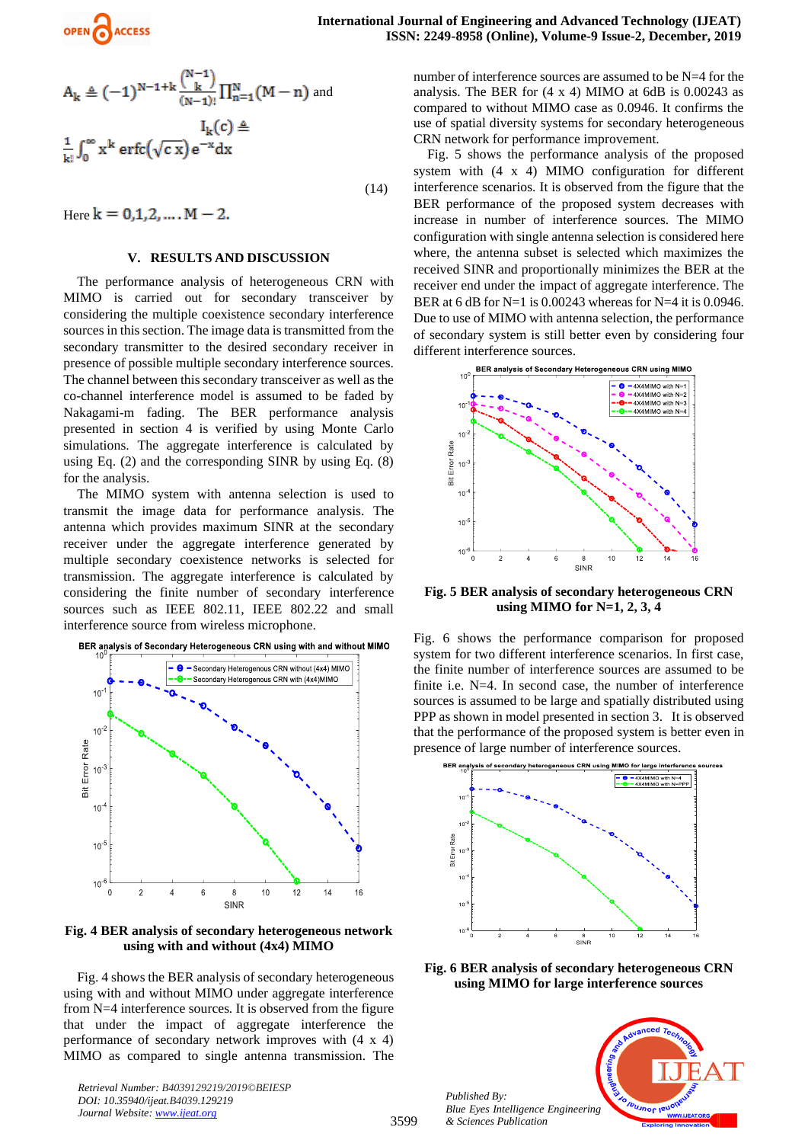

$$
A_k \triangleq (-1)^{N-1+k} \frac{\binom{N-1}{k}}{(N-1)!} \prod_{n=1}^N (M-n)
$$
 and  

$$
I_k(c) \triangleq
$$

$$
\frac{1}{k!} \int_0^\infty x^k \operatorname{erfc}(\sqrt{c} x) e^{-x} dx
$$

(14)

Here  $k = 0,1,2,..., M - 2$ .

# **V. RESULTS AND DISCUSSION**

The performance analysis of heterogeneous CRN with MIMO is carried out for secondary transceiver by considering the multiple coexistence secondary interference sources in this section. The image data is transmitted from the secondary transmitter to the desired secondary receiver in presence of possible multiple secondary interference sources. The channel between this secondary transceiver as well as the co-channel interference model is assumed to be faded by Nakagami-m fading. The BER performance analysis presented in section 4 is verified by using Monte Carlo simulations. The aggregate interference is calculated by using Eq. (2) and the corresponding SINR by using Eq. (8) for the analysis.

The MIMO system with antenna selection is used to transmit the image data for performance analysis. The antenna which provides maximum SINR at the secondary receiver under the aggregate interference generated by multiple secondary coexistence networks is selected for transmission. The aggregate interference is calculated by considering the finite number of secondary interference sources such as IEEE 802.11, IEEE 802.22 and small interference source from wireless microphone.





**Fig. 4 BER analysis of secondary heterogeneous network using with and without (4x4) MIMO**

Fig. 4 shows the BER analysis of secondary heterogeneous using with and without MIMO under aggregate interference from N=4 interference sources. It is observed from the figure that under the impact of aggregate interference the performance of secondary network improves with (4 x 4) MIMO as compared to single antenna transmission. The

*Retrieval Number: B4039129219/2019©BEIESP DOI: 10.35940/ijeat.B4039.129219 Journal Website[: www.ijeat.org](http://www.ijeat.org/)*

number of interference sources are assumed to be N=4 for the analysis. The BER for  $(4 \times 4)$  MIMO at 6dB is 0.00243 as compared to without MIMO case as 0.0946. It confirms the use of spatial diversity systems for secondary heterogeneous CRN network for performance improvement.

Fig. 5 shows the performance analysis of the proposed system with (4 x 4) MIMO configuration for different interference scenarios. It is observed from the figure that the BER performance of the proposed system decreases with increase in number of interference sources. The MIMO configuration with single antenna selection is considered here where, the antenna subset is selected which maximizes the received SINR and proportionally minimizes the BER at the receiver end under the impact of aggregate interference. The BER at 6 dB for  $N=1$  is 0.00243 whereas for  $N=4$  it is 0.0946. Due to use of MIMO with antenna selection, the performance of secondary system is still better even by considering four different interference sources.



**Fig. 5 BER analysis of secondary heterogeneous CRN using MIMO for N=1, 2, 3, 4**

Fig. 6 shows the performance comparison for proposed system for two different interference scenarios. In first case, the finite number of interference sources are assumed to be finite i.e. N=4. In second case, the number of interference sources is assumed to be large and spatially distributed using PPP as shown in model presented in section 3. It is observed that the performance of the proposed system is better even in presence of large number of interference sources.



**Fig. 6 BER analysis of secondary heterogeneous CRN using MIMO for large interference sources** 



*Published By: Blue Eyes Intelligence Engineering & Sciences Publication*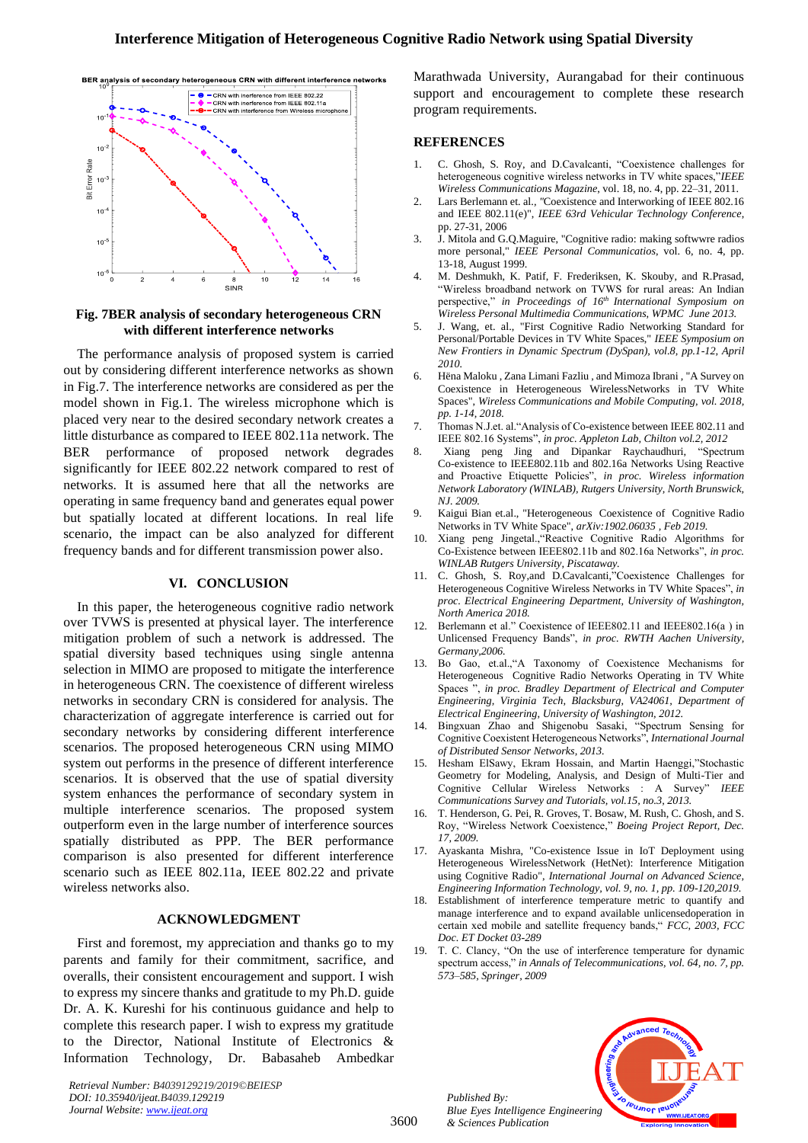

# **Fig. 7BER analysis of secondary heterogeneous CRN with different interference networks**

The performance analysis of proposed system is carried out by considering different interference networks as shown in Fig.7. The interference networks are considered as per the model shown in Fig.1. The wireless microphone which is placed very near to the desired secondary network creates a little disturbance as compared to IEEE 802.11a network. The BER performance of proposed network degrades significantly for IEEE 802.22 network compared to rest of networks. It is assumed here that all the networks are operating in same frequency band and generates equal power but spatially located at different locations. In real life scenario, the impact can be also analyzed for different frequency bands and for different transmission power also.

## **VI. CONCLUSION**

In this paper, the heterogeneous cognitive radio network over TVWS is presented at physical layer. The interference mitigation problem of such a network is addressed. The spatial diversity based techniques using single antenna selection in MIMO are proposed to mitigate the interference in heterogeneous CRN. The coexistence of different wireless networks in secondary CRN is considered for analysis. The characterization of aggregate interference is carried out for secondary networks by considering different interference scenarios. The proposed heterogeneous CRN using MIMO system out performs in the presence of different interference scenarios. It is observed that the use of spatial diversity system enhances the performance of secondary system in multiple interference scenarios. The proposed system outperform even in the large number of interference sources spatially distributed as PPP. The BER performance comparison is also presented for different interference scenario such as IEEE 802.11a, IEEE 802.22 and private wireless networks also.

## **ACKNOWLEDGMENT**

First and foremost, my appreciation and thanks go to my parents and family for their commitment, sacrifice, and overalls, their consistent encouragement and support. I wish to express my sincere thanks and gratitude to my Ph.D. guide Dr. A. K. Kureshi for his continuous guidance and help to complete this research paper. I wish to express my gratitude to the Director, National Institute of Electronics & Information Technology, Dr. Babasaheb Ambedkar

*Retrieval Number: B4039129219/2019©BEIESP DOI: 10.35940/ijeat.B4039.129219 Journal Website: [www.ijeat.org](http://www.ijeat.org/)*

Marathwada University, Aurangabad for their continuous support and encouragement to complete these research program requirements.

# **REFERENCES**

- 1. C. Ghosh, S. Roy, and D.Cavalcanti, "Coexistence challenges for heterogeneous cognitive wireless networks in TV white spaces,"*IEEE Wireless Communications Magazine*, vol. 18, no. 4, pp. 22–31, 2011.
- 2. Lars Berlemann et. al.*, "*Coexistence and Interworking of IEEE 802.16 and IEEE 802.11(e)", *IEEE 63rd Vehicular Technology Conference*, pp. 27-31, 2006
- 3. J. Mitola and G.Q.Maguire, "Cognitive radio: making softwwre radios more personal," *IEEE Personal Communicatios*, vol. 6, no. 4, pp. 13-18, August 1999.
- 4. M. Deshmukh, K. Patif, F. Frederiksen, K. Skouby, and R.Prasad, "Wireless broadband network on TVWS for rural areas: An Indian perspective," *in Proceedings of 16th International Symposium on Wireless Personal Multimedia Communications, WPMC June 2013.*
- 5. J. Wang, et. al., "First Cognitive Radio Networking Standard for Personal/Portable Devices in TV White Spaces," *IEEE Symposium on New Frontiers in Dynamic Spectrum (DySpan), vol.8, pp.1-12, April 2010.*
- 6. Hëna Maloku , Zana Limani Fazliu , and Mimoza Ibrani , "A Survey on Coexistence in Heterogeneous WirelessNetworks in TV White Spaces", *Wireless Communications and Mobile Computing, vol. 2018, pp. 1-14, 2018.*
- 7. Thomas N.J.et. al."Analysis of Co-existence between IEEE 802.11 and IEEE 802.16 Systems", *in proc. Appleton Lab, Chilton vol.2, 2012*
- 8. Xiang peng Jing and Dipankar Raychaudhuri, "Spectrum Co-existence to IEEE802.11b and 802.16a Networks Using Reactive and Proactive Etiquette Policies", *in proc. Wireless information Network Laboratory (WINLAB), Rutgers University, North Brunswick, NJ. 2009.*
- 9. Kaigui Bian et.al., "Heterogeneous Coexistence of Cognitive Radio Networks in TV White Space", *[arXiv:1902.06035](https://arxiv.org/abs/1902.06035) , Feb 2019.*
- 10. Xiang peng Jingetal.,"Reactive Cognitive Radio Algorithms for Co-Existence between IEEE802.11b and 802.16a Networks", *in proc. WINLAB Rutgers University, Piscataway.*
- 11. C. Ghosh, S. Roy,and D.Cavalcanti,"Coexistence Challenges for Heterogeneous Cognitive Wireless Networks in TV White Spaces", *in proc. Electrical Engineering Department, University of Washington, North America 2018.*
- 12. Berlemann et al." Coexistence of IEEE802.11 and IEEE802.16(a ) in Unlicensed Frequency Bands", *in proc. RWTH Aachen University, Germany,2006.*
- 13. Bo Gao, et.al.,"A Taxonomy of Coexistence Mechanisms for Heterogeneous Cognitive Radio Networks Operating in TV White Spaces ", *in proc. Bradley Department of Electrical and Computer Engineering, Virginia Tech, Blacksburg, VA24061, Department of Electrical Engineering, University of Washington, 2012.*
- 14. Bingxuan Zhao and Shigenobu Sasaki, "Spectrum Sensing for Cognitive Coexistent Heterogeneous Networks", *International Journal of Distributed Sensor Networks, 2013.*
- 15. Hesham ElSawy, Ekram Hossain, and Martin Haenggi,"Stochastic Geometry for Modeling, Analysis, and Design of Multi-Tier and Cognitive Cellular Wireless Networks : A Survey" *IEEE Communications Survey and Tutorials, vol.15, no.3, 2013.*
- 16. T. Henderson, G. Pei, R. Groves, T. Bosaw, M. Rush, C. Ghosh, and S. Roy, "Wireless Network Coexistence," *Boeing Project Report, Dec. 17, 2009.*
- 17. Ayaskanta Mishra, "Co-existence Issue in IoT Deployment using Heterogeneous WirelessNetwork (HetNet): Interference Mitigation using Cognitive Radio", *International Journal on Advanced Science, Engineering Information Technology, vol. 9, no. 1, pp. 109-120,2019.*
- 18. Establishment of interference temperature metric to quantify and manage interference and to expand available unlicensedoperation in certain xed mobile and satellite frequency bands," *FCC, 2003, FCC Doc. ET Docket 03-289*
- 19. T. C. Clancy, "On the use of interference temperature for dynamic spectrum access," in Annals of Telecommunications, vol. 64, no. 7, pp. *573–585, Springer, 2009*





3600